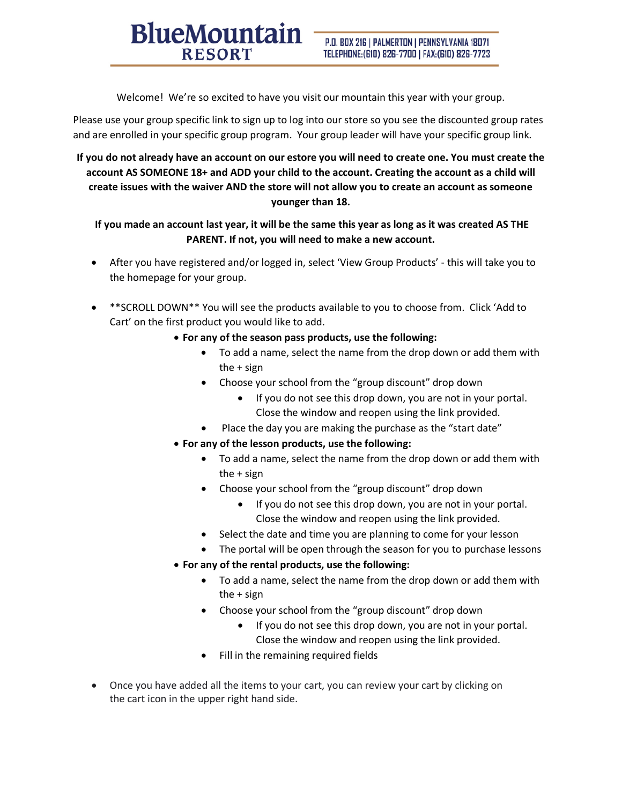Welcome! We're so excited to have you visit our mountain this year with your group.

**BlueMountain** 

**RESORT** 

Please use your group specific link to sign up to log into our store so you see the discounted group rates and are enrolled in your specific group program. Your group leader will have your specific group link.

## **If you do not already have an account on our estore you will need to create one. You must create the account AS SOMEONE 18+ and ADD your child to the account. Creating the account as a child will create issues with the waiver AND the store will not allow you to create an account as someone younger than 18.**

## **If you made an account last year, it will be the same this year as long as it was created AS THE PARENT. If not, you will need to make a new account.**

- After you have registered and/or logged in, select 'View Group Products' this will take you to the homepage for your group.
- \*\*SCROLL DOWN\*\* You will see the products available to you to choose from. Click 'Add to Cart' on the first product you would like to add.
	- **For any of the season pass products, use the following:**
		- To add a name, select the name from the drop down or add them with the + sign
		- Choose your school from the "group discount" drop down
			- If you do not see this drop down, you are not in your portal. Close the window and reopen using the link provided.
		- Place the day you are making the purchase as the "start date"
	- **For any of the lesson products, use the following:** 
		- To add a name, select the name from the drop down or add them with the + sign
		- Choose your school from the "group discount" drop down
			- If you do not see this drop down, you are not in your portal. Close the window and reopen using the link provided.
		- Select the date and time you are planning to come for your lesson
		- The portal will be open through the season for you to purchase lessons
	- **For any of the rental products, use the following:**
		- To add a name, select the name from the drop down or add them with the + sign
		- Choose your school from the "group discount" drop down
			- If you do not see this drop down, you are not in your portal. Close the window and reopen using the link provided.
		- Fill in the remaining required fields
- Once you have added all the items to your cart, you can review your cart by clicking on the cart icon in the upper right hand side.